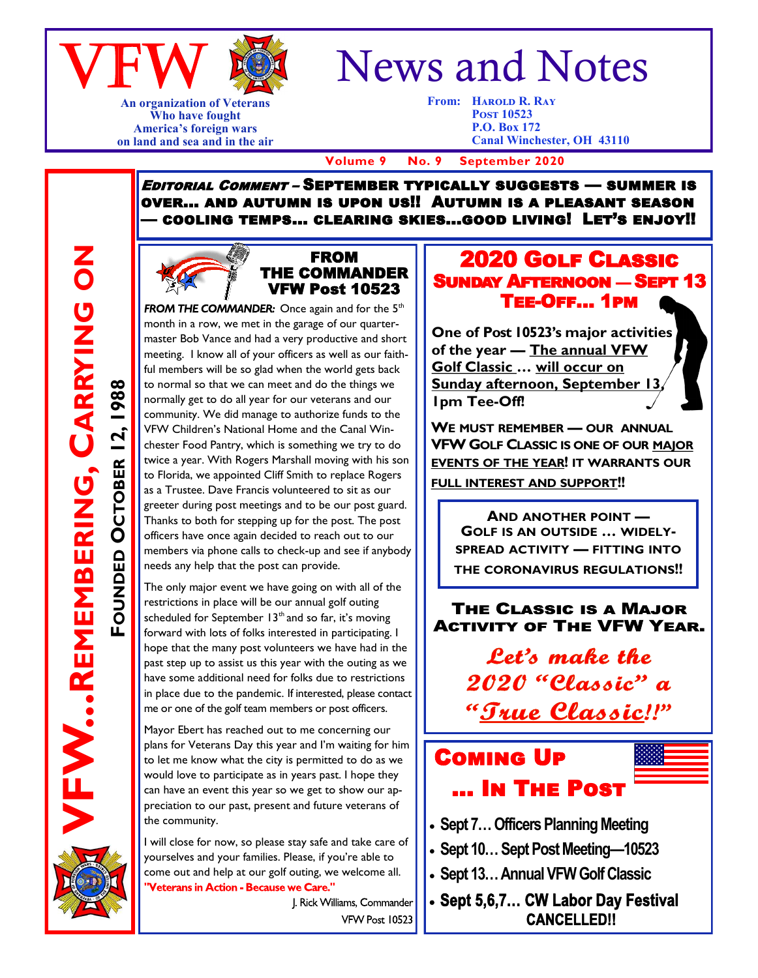

**An organization of Veterans Who have fought America's foreign wars on land and sea and in the air**

# News and Notes

**From: HAROLD R. RAY Post 10523 P.O. Box 172 Canal Winchester, OH 43110**

 **Volume 9 No. 9 September 2020**

Editorial Comment – September typically suggests — summer is over… and autumn is upon us!! Autumn is a pleasant season — cooling temps… clearing skies...good living! Let's enjoy!!

#### FROM THE COMMANDER VFW Post 10523

**FROM THE COMMANDER:** Once again and for the  $5<sup>th</sup>$ month in a row, we met in the garage of our quartermaster Bob Vance and had a very productive and short meeting. I know all of your officers as well as our faithful members will be so glad when the world gets back to normal so that we can meet and do the things we normally get to do all year for our veterans and our community. We did manage to authorize funds to the VFW Children's National Home and the Canal Winchester Food Pantry, which is something we try to do twice a year. With Rogers Marshall moving with his son to Florida, we appointed Cliff Smith to replace Rogers as a Trustee. Dave Francis volunteered to sit as our greeter during post meetings and to be our post guard. Thanks to both for stepping up for the post. The post officers have once again decided to reach out to our members via phone calls to check-up and see if anybody needs any help that the post can provide.

The only major event we have going on with all of the restrictions in place will be our annual golf outing scheduled for September  $13<sup>th</sup>$  and so far, it's moving forward with lots of folks interested in participating. I hope that the many post volunteers we have had in the past step up to assist us this year with the outing as we have some additional need for folks due to restrictions in place due to the pandemic. If interested, please contact me or one of the golf team members or post officers.

Mayor Ebert has reached out to me concerning our plans for Veterans Day this year and I'm waiting for him to let me know what the city is permitted to do as we would love to participate as in years past. I hope they can have an event this year so we get to show our appreciation to our past, present and future veterans of the community.

I will close for now, so please stay safe and take care of yourselves and your families. Please, if you're able to come out and help at our golf outing, we welcome all. Veterans in Action - Because we Care."

> J. Rick Williams, Commander VFW Post 10523

#### 2020 Golf Classic Sunday Afternoon — Sept 13 Tee-Off… 1pm

L

**One of Post 10523's major activities of the year — The annual VFW Golf Classic … will occur on Sunday afternoon, September 13, 1pm Tee-Off!**

**WE MUST REMEMBER — OUR ANNUAL VFW GOLF CLASSIC IS ONE OF OUR MAJOR EVENTS OF THE YEAR! IT WARRANTS OUR FULL INTEREST AND SUPPORT!!**

**AND ANOTHER POINT — GOLF IS AN OUTSIDE … WIDELY-SPREAD ACTIVITY — FITTING INTO THE CORONAVIRUS REGULATIONS!!** 

THE CLASSIC IS A MAJOR **ACTIVITY OF THE VFW YEAR.** 

> **Let's make the** 2020 "Classic" a "True Classic!!"

## Coming Up … In The Post

- **Sept 7… Officers Planning Meeting**
- **Sept 10… Sept Post Meeting—10523**
- **Sept 13… Annual VFW Golf Classic**

• Sept 5,6,7... CW Labor Day Festival **CANCELLEDIL**